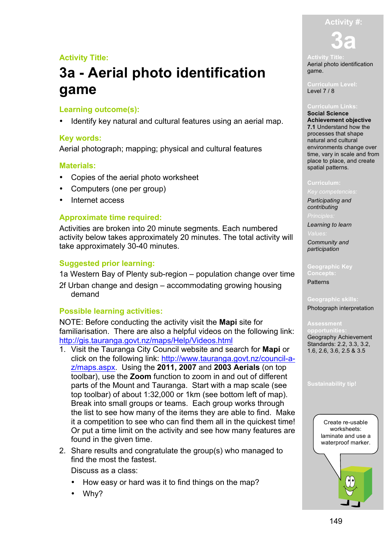#### **Activity #:**

### **Activity Title:**

# **3a - Aerial photo identification game**

#### **Learning outcome(s):**

• Identify key natural and cultural features using an aerial map.

#### **Key words:**

Aerial photograph; mapping; physical and cultural features

#### **Materials:**

- Copies of the aerial photo worksheet
- Computers (one per group)
- Internet access

#### **Approximate time required:**

Activities are broken into 20 minute segments. Each numbered activity below takes approximately 20 minutes. The total activity will take approximately 30-40 minutes.

#### **Suggested prior learning:**

1a Western Bay of Plenty sub-region – population change over time

2f Urban change and design – accommodating growing housing demand

#### **Possible learning activities:**

NOTE: Before conducting the activity visit the **Mapi** site for familiarisation. There are also a helpful videos on the following link: http://gis.tauranga.govt.nz/maps/Help/Videos.html

- 1. Visit the Tauranga City Council website and search for **Mapi** or click on the following link: http://www.tauranga.govt.nz/council-az/maps.aspx. Using the **2011, 2007** and **2003 Aerials** (on top toolbar), use the **Zoom** function to zoom in and out of different parts of the Mount and Tauranga. Start with a map scale (see top toolbar) of about 1:32,000 or 1km (see bottom left of map). Break into small groups or teams. Each group works through the list to see how many of the items they are able to find. Make it a competition to see who can find them all in the quickest time! Or put a time limit on the activity and see how many features are found in the given time.
- 2. Share results and congratulate the group(s) who managed to find the most the fastest.

Discuss as a class:

- How easy or hard was it to find things on the map?
- Why?

**3a**

Aerial photo identification game.

**Curriculum Level:** Level 7 / 8

**Social Science Achievement objective 7.1** Understand how the processes that shape natural and cultural environments change over time, vary in scale and from place to place, and create spatial patterns.

*Participating and* 

*contributing*

*Learning to learn*

*Community and participation*

**Geographic Key Concepts:** Patterns

**Geographic skills:**

Photograph interpretation

**Assessment opportunities:** Geography Achievement Standards: 2.2, 3.3, 3.2, 1.6, 2.6, 3.6, 2.5 & 3.5

**Sustainability tip!**

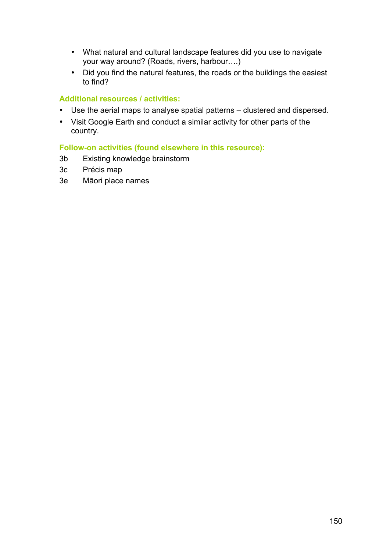- What natural and cultural landscape features did you use to navigate your way around? (Roads, rivers, harbour….)
- Did you find the natural features, the roads or the buildings the easiest to find?

### **Additional resources / activities:**

- Use the aerial maps to analyse spatial patterns clustered and dispersed.
- Visit Google Earth and conduct a similar activity for other parts of the country.

#### **Follow-on activities (found elsewhere in this resource):**

- 3b Existing knowledge brainstorm
- 3c Précis map
- 3e Māori place names